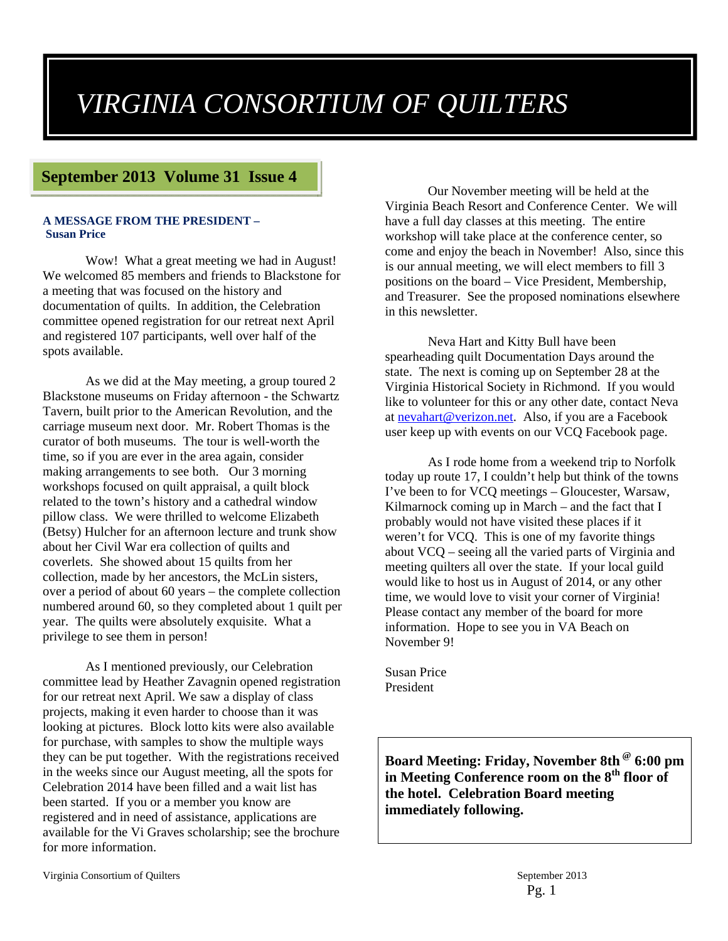## *VIRGINIA CONSORTIUM OF QUILTERS*

#### **September 2013 Volume 31 Issue 4**

#### **A MESSAGE FROM THE PRESIDENT – Susan Price**

Wow! What a great meeting we had in August! We welcomed 85 members and friends to Blackstone for a meeting that was focused on the history and documentation of quilts. In addition, the Celebration committee opened registration for our retreat next April and registered 107 participants, well over half of the spots available.

As we did at the May meeting, a group toured 2 Blackstone museums on Friday afternoon - the Schwartz Tavern, built prior to the American Revolution, and the carriage museum next door. Mr. Robert Thomas is the curator of both museums. The tour is well-worth the time, so if you are ever in the area again, consider making arrangements to see both. Our 3 morning workshops focused on quilt appraisal, a quilt block related to the town's history and a cathedral window pillow class. We were thrilled to welcome Elizabeth (Betsy) Hulcher for an afternoon lecture and trunk show about her Civil War era collection of quilts and coverlets. She showed about 15 quilts from her collection, made by her ancestors, the McLin sisters, over a period of about 60 years – the complete collection numbered around 60, so they completed about 1 quilt per year. The quilts were absolutely exquisite. What a privilege to see them in person!

As I mentioned previously, our Celebration committee lead by Heather Zavagnin opened registration for our retreat next April. We saw a display of class projects, making it even harder to choose than it was looking at pictures. Block lotto kits were also available for purchase, with samples to show the multiple ways they can be put together. With the registrations received in the weeks since our August meeting, all the spots for Celebration 2014 have been filled and a wait list has been started. If you or a member you know are registered and in need of assistance, applications are available for the Vi Graves scholarship; see the brochure for more information.

Our November meeting will be held at the Virginia Beach Resort and Conference Center. We will have a full day classes at this meeting. The entire workshop will take place at the conference center, so come and enjoy the beach in November! Also, since this is our annual meeting, we will elect members to fill 3 positions on the board – Vice President, Membership, and Treasurer. See the proposed nominations elsewhere in this newsletter.

Neva Hart and Kitty Bull have been spearheading quilt Documentation Days around the state. The next is coming up on September 28 at the Virginia Historical Society in Richmond. If you would like to volunteer for this or any other date, contact Neva at nevahart@verizon.net. Also, if you are a Facebook user keep up with events on our VCQ Facebook page.

As I rode home from a weekend trip to Norfolk today up route 17, I couldn't help but think of the towns I've been to for VCQ meetings – Gloucester, Warsaw, Kilmarnock coming up in March – and the fact that I probably would not have visited these places if it weren't for VCQ. This is one of my favorite things about VCQ – seeing all the varied parts of Virginia and meeting quilters all over the state. If your local guild would like to host us in August of 2014, or any other time, we would love to visit your corner of Virginia! Please contact any member of the board for more information. Hope to see you in VA Beach on November 9!

Susan Price President

**Board Meeting: Friday, November 8th @ 6:00 pm**  in Meeting Conference room on the 8<sup>th</sup> floor of **the hotel. Celebration Board meeting immediately following.**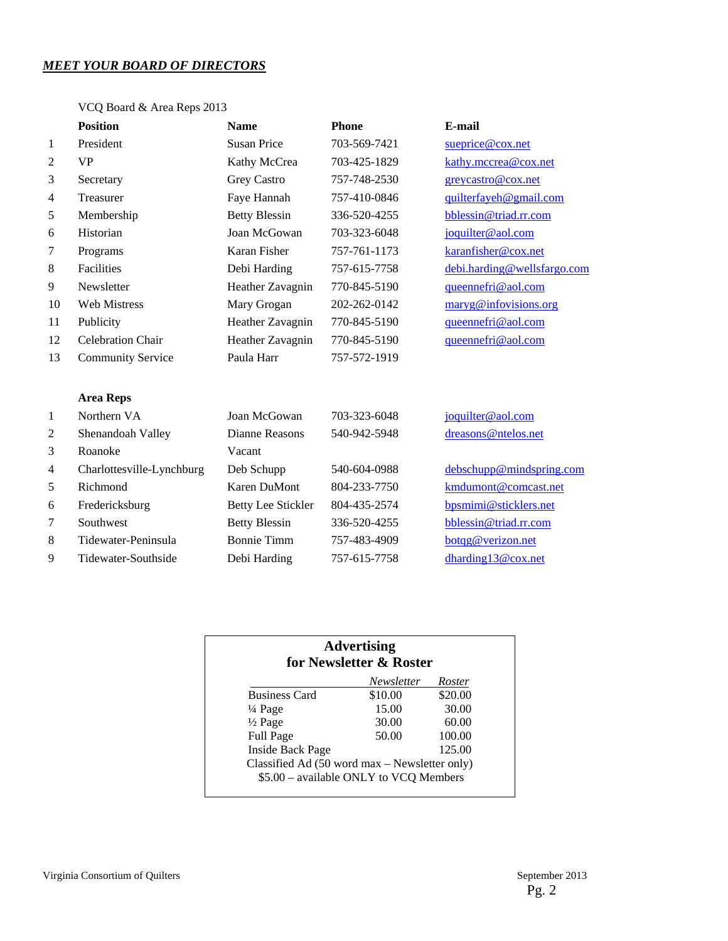#### *MEET YOUR BOARD OF DIRECTORS*

#### VCQ Board & Area Reps 2013

|                | <b>Position</b>           | <b>Name</b>               | <b>Phone</b> | E-mail                      |
|----------------|---------------------------|---------------------------|--------------|-----------------------------|
| $\mathbf{1}$   | President                 | <b>Susan Price</b>        | 703-569-7421 | sueprice@cox.net            |
| 2              | <b>VP</b>                 | Kathy McCrea              | 703-425-1829 | kathy.mccrea@cox.net        |
| 3              | Secretary                 | Grey Castro               | 757-748-2530 | greycastro@cox.net          |
| $\overline{4}$ | Treasurer                 | Faye Hannah               | 757-410-0846 | quilterfayeh@gmail.com      |
| 5              | Membership                | <b>Betty Blessin</b>      | 336-520-4255 | bblessin@triad.rr.com       |
| 6              | Historian                 | Joan McGowan              | 703-323-6048 | joquilter@aol.com           |
| 7              | Programs                  | Karan Fisher              | 757-761-1173 | karanfisher@cox.net         |
| $8\phantom{1}$ | <b>Facilities</b>         | Debi Harding              | 757-615-7758 | debi.harding@wellsfargo.com |
| 9              | Newsletter                | Heather Zavagnin          | 770-845-5190 | queennefri@aol.com          |
| 10             | <b>Web Mistress</b>       | Mary Grogan               | 202-262-0142 | maryg@infovisions.org       |
| 11             | Publicity                 | Heather Zavagnin          | 770-845-5190 | queennefri@aol.com          |
| 12             | Celebration Chair         | Heather Zavagnin          | 770-845-5190 | queennefri@aol.com          |
| 13             | <b>Community Service</b>  | Paula Harr                | 757-572-1919 |                             |
|                |                           |                           |              |                             |
|                | <b>Area Reps</b>          |                           |              |                             |
| 1              | Northern VA               | Joan McGowan              | 703-323-6048 | joquilter@aol.com           |
| 2              | Shenandoah Valley         | Dianne Reasons            | 540-942-5948 | dreasons@ntelos.net         |
| 3              | Roanoke                   | Vacant                    |              |                             |
| $\overline{4}$ | Charlottesville-Lynchburg | Deb Schupp                | 540-604-0988 | debschupp@mindspring.com    |
| 5              | Richmond                  | <b>Karen DuMont</b>       | 804-233-7750 | kmdumont@comcast.net        |
| 6              | Fredericksburg            | <b>Betty Lee Stickler</b> | 804-435-2574 | bpsmimi@sticklers.net       |
| 7              | Southwest                 | <b>Betty Blessin</b>      | 336-520-4255 | bblessin@triad.rr.com       |
| 8              | Tidewater-Peninsula       | <b>Bonnie Timm</b>        | 757-483-4909 | botqg@verizon.net           |
| 9              | Tidewater-Southside       | Debi Harding              | 757-615-7758 | dharding13@cox.net          |

| <b>Advertising</b><br>for Newsletter & Roster |            |         |  |
|-----------------------------------------------|------------|---------|--|
|                                               | Newsletter | Roster  |  |
| <b>Business Card</b>                          | \$10.00    | \$20.00 |  |
| $\frac{1}{4}$ Page                            | 15.00      | 30.00   |  |
| $\frac{1}{2}$ Page                            | 30.00      | 60.00   |  |
| <b>Full Page</b>                              | 50.00      | 100.00  |  |
| <b>Inside Back Page</b>                       |            | 125.00  |  |
| Classified Ad (50 word max – Newsletter only) |            |         |  |
| \$5.00 - available ONLY to VCQ Members        |            |         |  |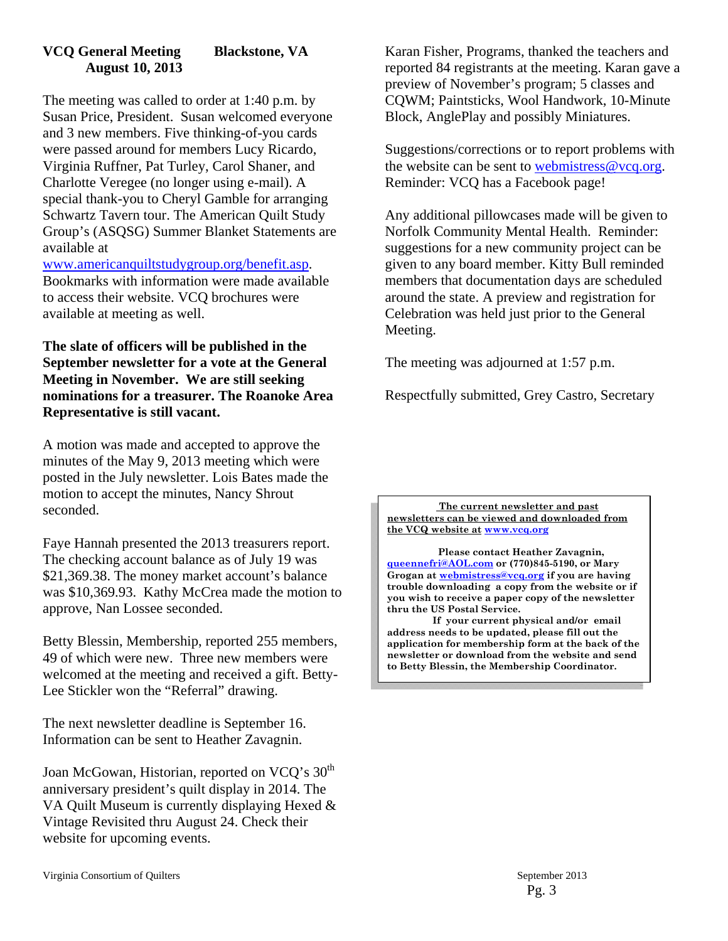#### **VCQ General Meeting Blackstone, VA August 10, 2013**

The meeting was called to order at 1:40 p.m. by Susan Price, President. Susan welcomed everyone and 3 new members. Five thinking-of-you cards were passed around for members Lucy Ricardo, Virginia Ruffner, Pat Turley, Carol Shaner, and Charlotte Veregee (no longer using e-mail). A special thank-you to Cheryl Gamble for arranging Schwartz Tavern tour. The American Quilt Study Group's (ASQSG) Summer Blanket Statements are available at

www.americanquiltstudygroup.org/benefit.asp. Bookmarks with information were made available to access their website. VCQ brochures were available at meeting as well.

**The slate of officers will be published in the September newsletter for a vote at the General Meeting in November. We are still seeking nominations for a treasurer. The Roanoke Area Representative is still vacant.** 

A motion was made and accepted to approve the minutes of the May 9, 2013 meeting which were posted in the July newsletter. Lois Bates made the motion to accept the minutes, Nancy Shrout seconded.

Faye Hannah presented the 2013 treasurers report. The checking account balance as of July 19 was \$21,369.38. The money market account's balance was \$10,369.93. Kathy McCrea made the motion to approve, Nan Lossee seconded.

Betty Blessin, Membership, reported 255 members, 49 of which were new. Three new members were welcomed at the meeting and received a gift. Betty-Lee Stickler won the "Referral" drawing.

The next newsletter deadline is September 16. Information can be sent to Heather Zavagnin.

Joan McGowan, Historian, reported on VCQ's 30<sup>th</sup> anniversary president's quilt display in 2014. The VA Quilt Museum is currently displaying Hexed & Vintage Revisited thru August 24. Check their website for upcoming events.

Karan Fisher, Programs, thanked the teachers and reported 84 registrants at the meeting. Karan gave a preview of November's program; 5 classes and CQWM; Paintsticks, Wool Handwork, 10-Minute Block, AnglePlay and possibly Miniatures.

Suggestions/corrections or to report problems with the website can be sent to webmistress@vcq.org. Reminder: VCQ has a Facebook page!

Any additional pillowcases made will be given to Norfolk Community Mental Health. Reminder: suggestions for a new community project can be given to any board member. Kitty Bull reminded members that documentation days are scheduled around the state. A preview and registration for Celebration was held just prior to the General Meeting.

The meeting was adjourned at 1:57 p.m.

Respectfully submitted, Grey Castro, Secretary

**The current newsletter and past newsletters can be viewed and downloaded from the VCQ website at www.vcq.org**

 **Please contact Heather Zavagnin, queennefri@AOL.com or (770)845-5190, or Mary Grogan at webmistress@vcq.org if you are having trouble downloading a copy from the website or if you wish to receive a paper copy of the newsletter thru the US Postal Service.** 

 **If your current physical and/or email address needs to be updated, please fill out the application for membership form at the back of the newsletter or download from the website and send to Betty Blessin, the Membership Coordinator.**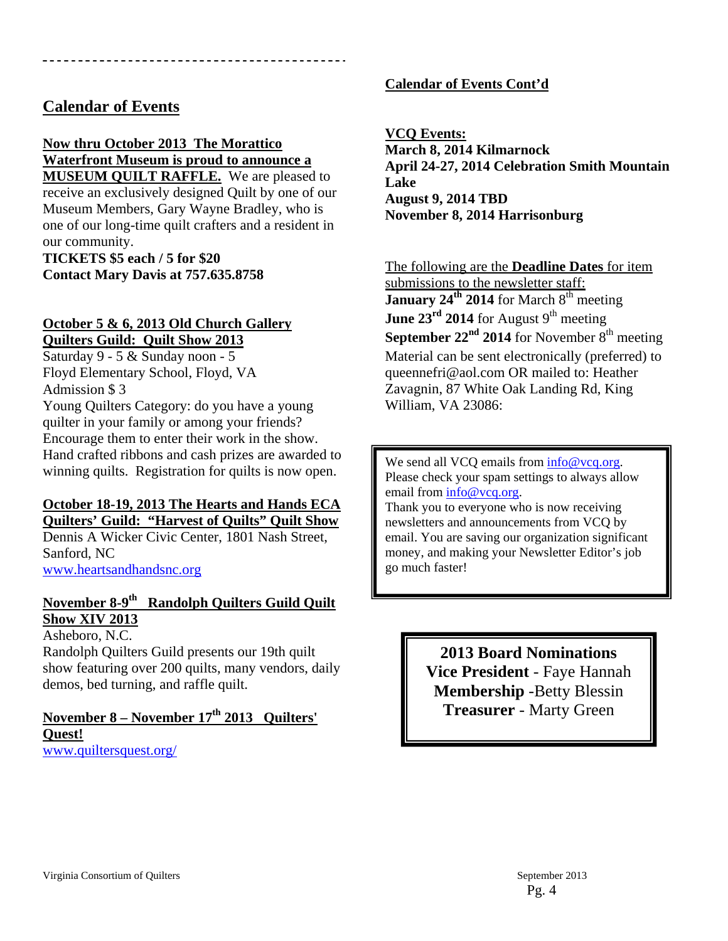#### **Calendar of Events**

#### **Now thru October 2013 The Morattico Waterfront Museum is proud to announce a**

**MUSEUM QUILT RAFFLE.** We are pleased to receive an exclusively designed Quilt by one of our Museum Members, Gary Wayne Bradley, who is one of our long-time quilt crafters and a resident in our community.

**TICKETS \$5 each / 5 for \$20 Contact Mary Davis at 757.635.8758** 

#### **October 5 & 6, 2013 Old Church Gallery Quilters Guild: Quilt Show 2013**

Saturday 9 - 5 & Sunday noon - 5 Floyd Elementary School, Floyd, VA Admission \$ 3

Young Quilters Category: do you have a young quilter in your family or among your friends? Encourage them to enter their work in the show. Hand crafted ribbons and cash prizes are awarded to winning quilts. Registration for quilts is now open.

#### **October 18-19, 2013 The Hearts and Hands ECA Quilters' Guild: "Harvest of Quilts" Quilt Show**

Dennis A Wicker Civic Center, 1801 Nash Street, Sanford, NC www.heartsandhandsnc.org

#### **November 8-9th Randolph Quilters Guild Quilt Show XIV 2013**

Asheboro, N.C.

Randolph Quilters Guild presents our 19th quilt show featuring over 200 quilts, many vendors, daily demos, bed turning, and raffle quilt.

#### November 8 – November 17<sup>th</sup> 2013 Quilters' **Quest!**  www.quiltersquest.org/

#### **Calendar of Events Cont'd**

**VCQ Events: March 8, 2014 Kilmarnock April 24-27, 2014 Celebration Smith Mountain Lake August 9, 2014 TBD November 8, 2014 Harrisonburg** 

The following are the **Deadline Dates** for item submissions to the newsletter staff: January 24<sup>th</sup> 2014 for March 8<sup>th</sup> meeting June 23<sup>rd</sup> 2014 for August 9<sup>th</sup> meeting **September**  $22<sup>nd</sup>$  **2014** for November  $8<sup>th</sup>$  meeting Material can be sent electronically (preferred) to queennefri@aol.com OR mailed to: Heather Zavagnin, 87 White Oak Landing Rd, King William, VA 23086:

We send all VCQ emails from  $\frac{info@vcq.org}{}$ . Please check your spam settings to always allow email from info@vcq.org.

Thank you to everyone who is now receiving newsletters and announcements from VCQ by email. You are saving our organization significant money, and making your Newsletter Editor's job go much faster!

> **2013 Board Nominations Vice President** - Faye Hannah **Membership** -Betty Blessin **Treasurer** - Marty Green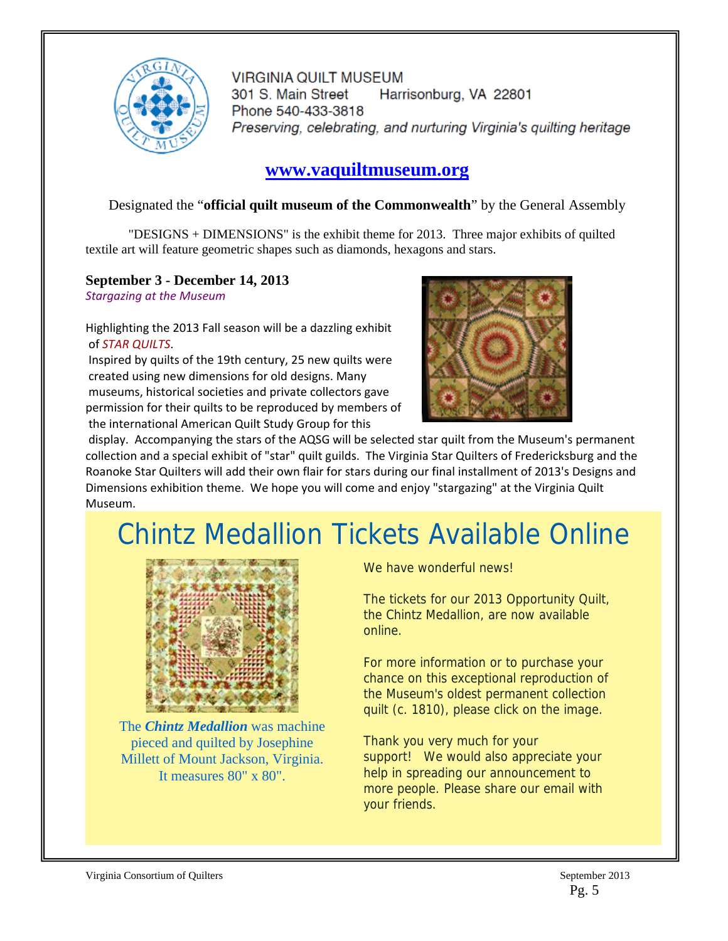

**VIRGINIA QUILT MUSEUM** 301 S. Main Street Harrisonburg, VA 22801 Phone 540-433-3818 Preserving, celebrating, and nurturing Virginia's quilting heritage

### **www.vaquiltmuseum.org**

#### Designated the "**official quilt museum of the Commonwealth**" by the General Assembly

"DESIGNS + DIMENSIONS" is the exhibit theme for 2013. Three major exhibits of quilted textile art will feature geometric shapes such as diamonds, hexagons and stars.

#### **September 3 - December 14, 2013**

*Stargazing at the Museum*

Highlighting the 2013 Fall season will be a dazzling exhibit of *STAR QUILTS*.

Inspired by quilts of the 19th century, 25 new quilts were created using new dimensions for old designs. Many museums, historical societies and private collectors gave permission for their quilts to be reproduced by members of the international American Quilt Study Group for this



display. Accompanying the stars of the AQSG will be selected star quilt from the Museum's permanent collection and a special exhibit of "star" quilt guilds. The Virginia Star Quilters of Fredericksburg and the Roanoke Star Quilters will add their own flair for stars during our final installment of 2013's Designs and Dimensions exhibition theme. We hope you will come and enjoy "stargazing" at the Virginia Quilt Museum.

## Chintz Medallion Tickets Available Online



The *Chintz Medallion* was machine pieced and quilted by Josephine Millett of Mount Jackson, Virginia. It measures 80" x 80".

We have wonderful news!

The tickets for our 2013 Opportunity Quilt, the Chintz Medallion, are now available online.

For more information or to purchase your chance on this exceptional reproduction of the Museum's oldest permanent collection quilt (c. 1810), please click on the image.

Thank you very much for your support! We would also appreciate your help in spreading our announcement to more people. Please share our email with your friends.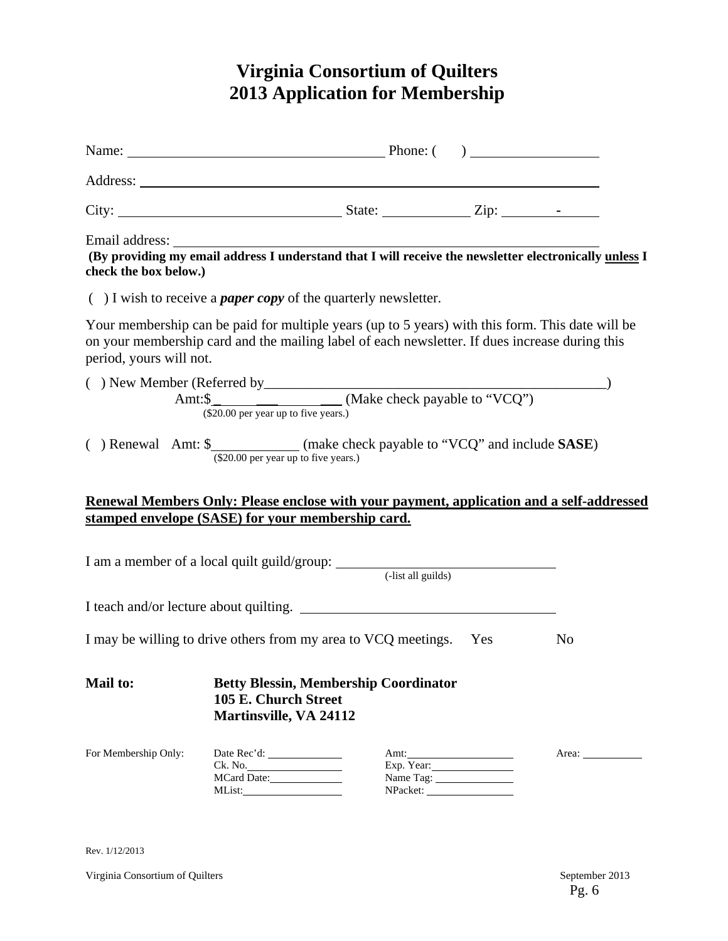### **Virginia Consortium of Quilters 2013 Application for Membership**

|                         | Name: $\qquad \qquad$ Phone: $\qquad \qquad$ Phone: $\qquad \qquad$                                                                                                                                    |                                 |                |
|-------------------------|--------------------------------------------------------------------------------------------------------------------------------------------------------------------------------------------------------|---------------------------------|----------------|
|                         |                                                                                                                                                                                                        |                                 |                |
|                         |                                                                                                                                                                                                        |                                 |                |
| check the box below.)   | Email address: The address of the set of the set of the set of the set of the set of the set of the providing my email address I understand that I will receive the newsletter electronically unless I |                                 |                |
|                         | $( )$ I wish to receive a <i>paper copy</i> of the quarterly newsletter.                                                                                                                               |                                 |                |
| period, yours will not. | Your membership can be paid for multiple years (up to 5 years) with this form. This date will be<br>on your membership card and the mailing label of each newsletter. If dues increase during this     |                                 |                |
|                         | ( ) New Member (Referred by<br>Amt: $\frac{\text{Amt:}\$}{\text{(000000)}\$}$ (Make check payable to "VCQ")                                                                                            |                                 |                |
|                         | ( ) Renewal Amt: $\frac{\text{S}}{\text{($20.00 per year up to five years.)}}$ (make check payable to "VCQ" and include <b>SASE</b> )                                                                  |                                 |                |
|                         | Renewal Members Only: Please enclose with your payment, application and a self-addressed                                                                                                               |                                 |                |
|                         | stamped envelope (SASE) for your membership card.                                                                                                                                                      |                                 |                |
|                         |                                                                                                                                                                                                        |                                 |                |
|                         | I teach and/or lecture about quilting.                                                                                                                                                                 |                                 |                |
|                         | I may be willing to drive others from my area to VCQ meetings. Yes                                                                                                                                     |                                 | N <sub>0</sub> |
| <b>Mail to:</b>         | <b>Betty Blessin, Membership Coordinator</b><br>105 E. Church Street<br><b>Martinsville, VA 24112</b>                                                                                                  |                                 |                |
| For Membership Only:    | Ck. No.<br>MCard Date:                                                                                                                                                                                 | Amt:<br>Exp. Year:<br>Name Tag: | Area: 1988     |

Rev. 1/12/2013

Virginia Consortium of Quilters September 2013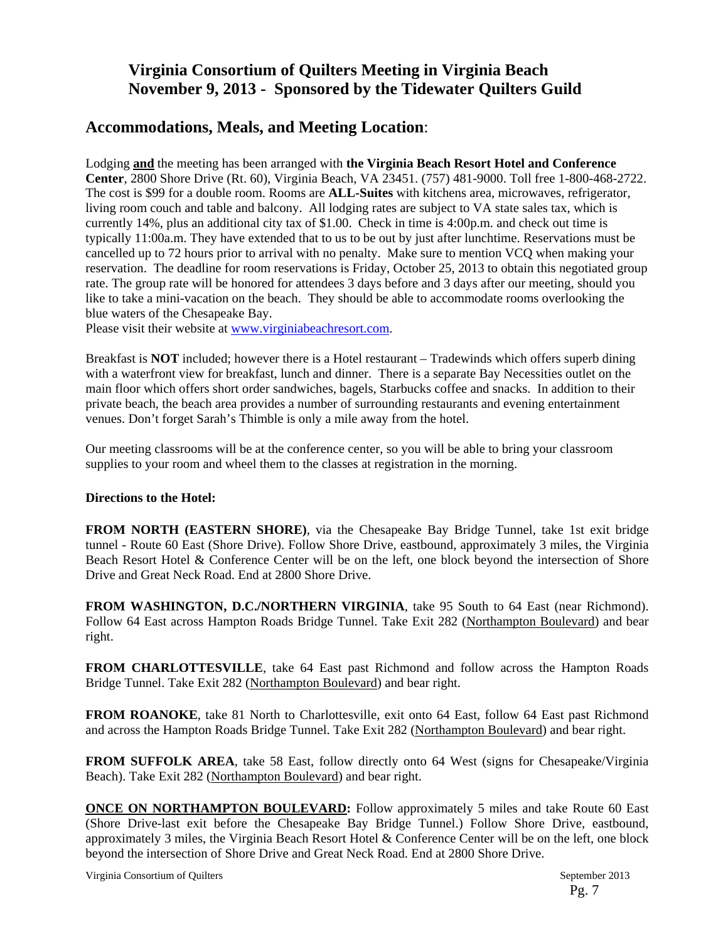#### **Virginia Consortium of Quilters Meeting in Virginia Beach November 9, 2013 - Sponsored by the Tidewater Quilters Guild**

#### **Accommodations, Meals, and Meeting Location**:

Lodging **and** the meeting has been arranged with **the Virginia Beach Resort Hotel and Conference Center**, 2800 Shore Drive (Rt. 60), Virginia Beach, VA 23451. (757) 481-9000. Toll free 1-800-468-2722. The cost is \$99 for a double room. Rooms are **ALL-Suites** with kitchens area, microwaves, refrigerator, living room couch and table and balcony. All lodging rates are subject to VA state sales tax, which is currently 14%, plus an additional city tax of \$1.00. Check in time is 4:00p.m. and check out time is typically 11:00a.m. They have extended that to us to be out by just after lunchtime. Reservations must be cancelled up to 72 hours prior to arrival with no penalty. Make sure to mention VCQ when making your reservation. The deadline for room reservations is Friday, October 25, 2013 to obtain this negotiated group rate. The group rate will be honored for attendees 3 days before and 3 days after our meeting, should you like to take a mini-vacation on the beach. They should be able to accommodate rooms overlooking the blue waters of the Chesapeake Bay.

Please visit their website at www.virginiabeachresort.com.

Breakfast is **NOT** included; however there is a Hotel restaurant – Tradewinds which offers superb dining with a waterfront view for breakfast, lunch and dinner. There is a separate Bay Necessities outlet on the main floor which offers short order sandwiches, bagels, Starbucks coffee and snacks. In addition to their private beach, the beach area provides a number of surrounding restaurants and evening entertainment venues. Don't forget Sarah's Thimble is only a mile away from the hotel.

Our meeting classrooms will be at the conference center, so you will be able to bring your classroom supplies to your room and wheel them to the classes at registration in the morning.

#### **Directions to the Hotel:**

**FROM NORTH (EASTERN SHORE)**, via the Chesapeake Bay Bridge Tunnel, take 1st exit bridge tunnel - Route 60 East (Shore Drive). Follow Shore Drive, eastbound, approximately 3 miles, the Virginia Beach Resort Hotel & Conference Center will be on the left, one block beyond the intersection of Shore Drive and Great Neck Road. End at 2800 Shore Drive.

**FROM WASHINGTON, D.C./NORTHERN VIRGINIA**, take 95 South to 64 East (near Richmond). Follow 64 East across Hampton Roads Bridge Tunnel. Take Exit 282 (Northampton Boulevard) and bear right.

**FROM CHARLOTTESVILLE**, take 64 East past Richmond and follow across the Hampton Roads Bridge Tunnel. Take Exit 282 (Northampton Boulevard) and bear right.

**FROM ROANOKE**, take 81 North to Charlottesville, exit onto 64 East, follow 64 East past Richmond and across the Hampton Roads Bridge Tunnel. Take Exit 282 (Northampton Boulevard) and bear right.

**FROM SUFFOLK AREA,** take 58 East, follow directly onto 64 West (signs for Chesapeake/Virginia Beach). Take Exit 282 (Northampton Boulevard) and bear right.

**ONCE ON NORTHAMPTON BOULEVARD:** Follow approximately 5 miles and take Route 60 East (Shore Drive-last exit before the Chesapeake Bay Bridge Tunnel.) Follow Shore Drive, eastbound, approximately 3 miles, the Virginia Beach Resort Hotel & Conference Center will be on the left, one block beyond the intersection of Shore Drive and Great Neck Road. End at 2800 Shore Drive.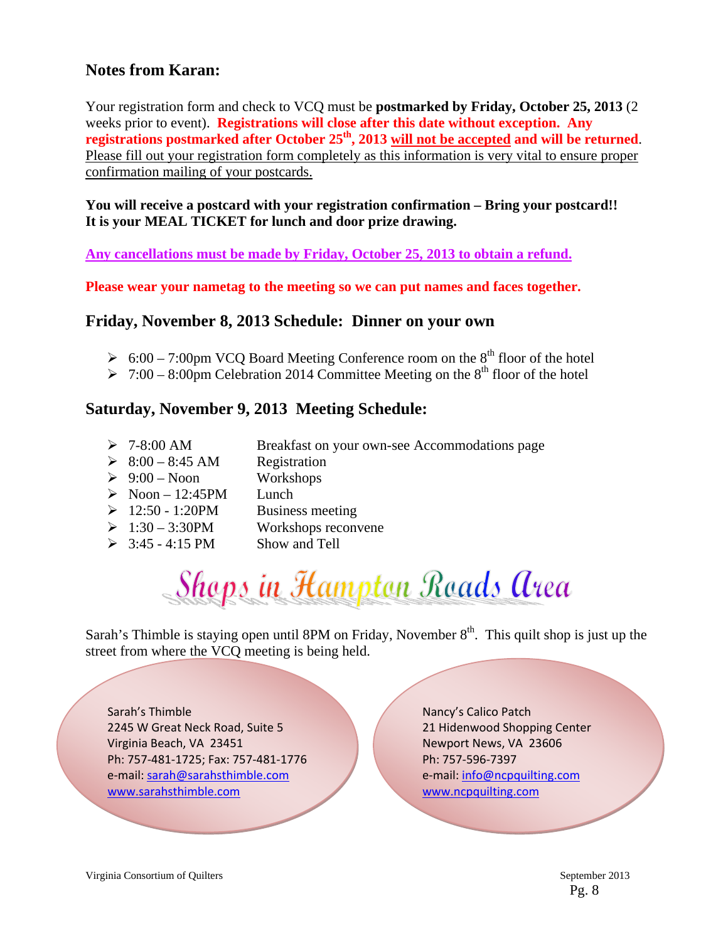#### **Notes from Karan:**

Your registration form and check to VCQ must be **postmarked by Friday, October 25, 2013** (2 weeks prior to event). **Registrations will close after this date without exception. Any**  registrations postmarked after October 25<sup>th</sup>, 2013 will not be accepted and will be returned. Please fill out your registration form completely as this information is very vital to ensure proper confirmation mailing of your postcards.

**You will receive a postcard with your registration confirmation – Bring your postcard!! It is your MEAL TICKET for lunch and door prize drawing.** 

**Any cancellations must be made by Friday, October 25, 2013 to obtain a refund.** 

**Please wear your nametag to the meeting so we can put names and faces together.** 

#### **Friday, November 8, 2013 Schedule: Dinner on your own**

- $\geq 6:00 7:00 \text{pm VCO}$  Board Meeting Conference room on the 8<sup>th</sup> floor of the hotel
- $\geq 7:00-8:00$  pm Celebration 2014 Committee Meeting on the 8<sup>th</sup> floor of the hotel

#### **Saturday, November 9, 2013 Meeting Schedule:**

- 7-8:00 AM Breakfast on your own-see Accommodations page
- $\geq 8:00 8:45$  AM Registration
- $\geq 9:00$  Noon Workshops
- $\triangleright$  Noon 12:45PM Lunch
- $\geq 12:50 1:20$ PM Business meeting
- $\geq 1:30 3:30$ PM Workshops reconvene
- $\geq 3:45 4:15 \text{ PM}$  Show and Tell

# Shops in Hampton Roads Area

Sarah's Thimble is staying open until 8PM on Friday, November  $8<sup>th</sup>$ . This quilt shop is just up the street from where the VCQ meeting is being held.

Sarah's Thimble 2245 W Great Neck Road, Suite 5 Virginia Beach, VA 23451 Ph: 757‐481‐1725; Fax: 757‐481‐1776 e‐mail: sarah@sarahsthimble.com www.sarahsthimble.com

Nancy's Calico Patch 21 Hidenwood Shopping Center Newport News, VA 23606 Ph: 757‐596‐7397 e‐mail: info@ncpquilting.com www.ncpquilting.com

Pg. 8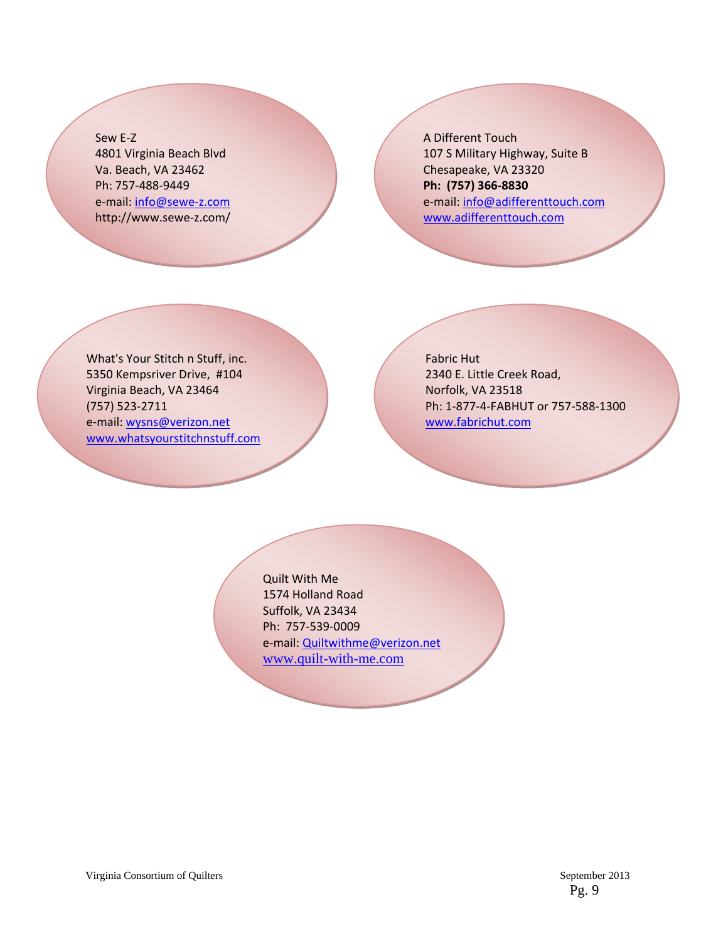Sew E‐Z 4801 Virginia Beach Blvd Va. Beach, VA 23462 Ph: 757‐488‐9449 e-mail: info@sewe-z.com http://www.sewe‐z.com/ A Different Touch 107 S Military Highway, Suite B Chesapeake, VA 23320 **Ph: (757) 366‐8830** e‐mail: info@adifferenttouch.com www.adifferenttouch.com

What's Your Stitch n Stuff, inc. 5350 Kempsriver Drive, #104 Virginia Beach, VA 23464 (757) 523‐2711 e‐mail: wysns@verizon.net www.whatsyourstitchnstuff.com Fabric Hut 2340 E. Little Creek Road, Norfolk, VA 23518 Ph: 1‐877‐4‐FABHUT or 757‐588‐1300 www.fabrichut.com

Quilt With Me 1574 Holland Road Suffolk, VA 23434 Ph: 757‐539‐0009 e-mail: Quiltwithme@verizon.net www.quilt-with-me.com

Pg. 9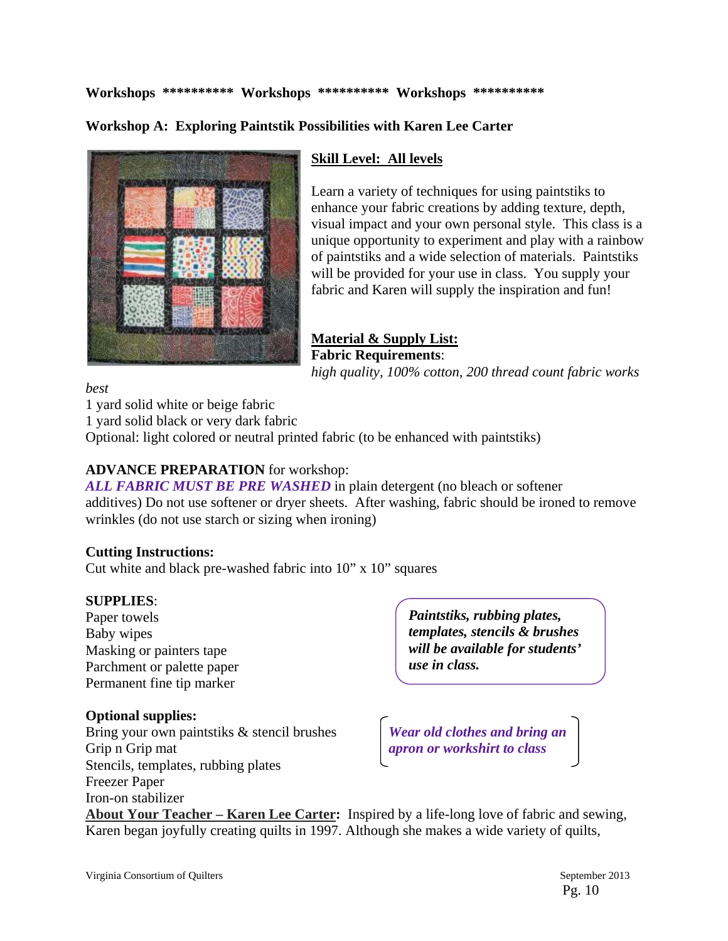#### **Workshops \*\*\*\*\*\*\*\*\*\* Workshops \*\*\*\*\*\*\*\*\*\* Workshops \*\*\*\*\*\*\*\*\*\***

#### **Workshop A: Exploring Paintstik Possibilities with Karen Lee Carter**



#### **Skill Level: All levels**

Learn a variety of techniques for using paintstiks to enhance your fabric creations by adding texture, depth, visual impact and your own personal style. This class is a unique opportunity to experiment and play with a rainbow of paintstiks and a wide selection of materials. Paintstiks will be provided for your use in class. You supply your fabric and Karen will supply the inspiration and fun!

#### **Material & Supply List: Fabric Requirements**: *high quality, 100% cotton, 200 thread count fabric works*

#### *best*

1 yard solid white or beige fabric

1 yard solid black or very dark fabric

Optional: light colored or neutral printed fabric (to be enhanced with paintstiks)

#### **ADVANCE PREPARATION** for workshop:

*ALL FABRIC MUST BE PRE WASHED* in plain detergent (no bleach or softener additives) Do not use softener or dryer sheets. After washing, fabric should be ironed to remove wrinkles (do not use starch or sizing when ironing)

#### **Cutting Instructions:**

Cut white and black pre-washed fabric into 10" x 10" squares

#### **SUPPLIES**:

Paper towels Baby wipes Masking or painters tape Parchment or palette paper Permanent fine tip marker

#### **Optional supplies:**

Bring your own paintstiks & stencil brushes *Wear old clothes and bring an* Grip n Grip mat *apron or workshirt to class* Stencils, templates, rubbing plates Freezer Paper Iron-on stabilizer

*Paintstiks, rubbing plates, templates, stencils & brushes will be available for students' use in class.* 

**About Your Teacher – Karen Lee Carter:** Inspired by a life-long love of fabric and sewing, Karen began joyfully creating quilts in 1997. Although she makes a wide variety of quilts,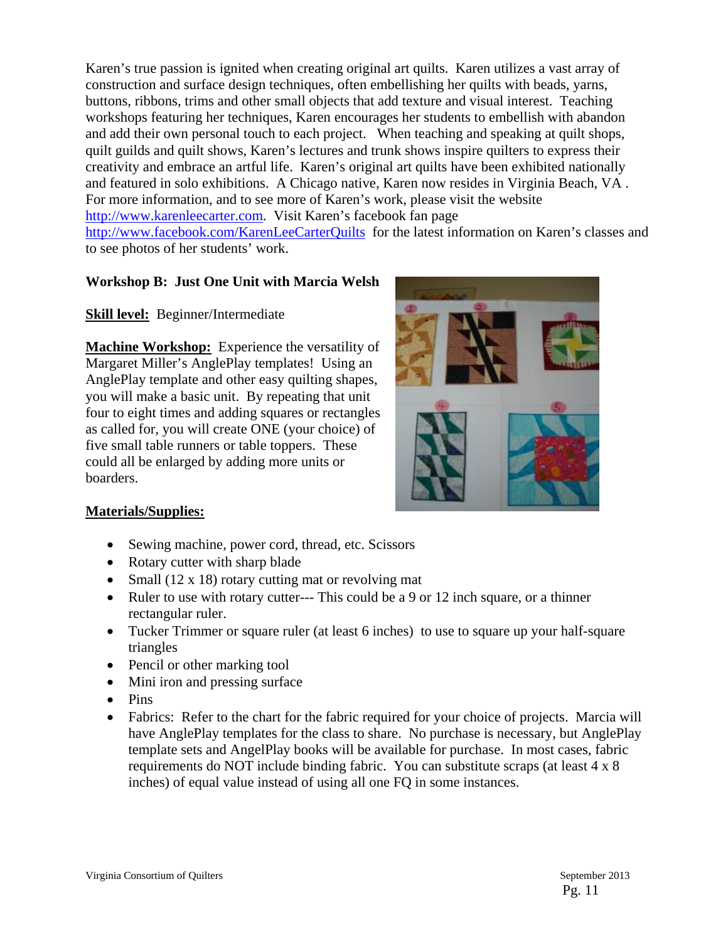Karen's true passion is ignited when creating original art quilts. Karen utilizes a vast array of construction and surface design techniques, often embellishing her quilts with beads, yarns, buttons, ribbons, trims and other small objects that add texture and visual interest. Teaching workshops featuring her techniques, Karen encourages her students to embellish with abandon and add their own personal touch to each project. When teaching and speaking at quilt shops, quilt guilds and quilt shows, Karen's lectures and trunk shows inspire quilters to express their creativity and embrace an artful life. Karen's original art quilts have been exhibited nationally and featured in solo exhibitions. A Chicago native, Karen now resides in Virginia Beach, VA . For more information, and to see more of Karen's work, please visit the website http://www.karenleecarter.com. Visit Karen's facebook fan page http://www.facebook.com/KarenLeeCarterQuilts for the latest information on Karen's classes and to see photos of her students' work.

#### **Workshop B: Just One Unit with Marcia Welsh**

**Skill level:** Beginner/Intermediate

**Machine Workshop:** Experience the versatility of Margaret Miller's AnglePlay templates! Using an AnglePlay template and other easy quilting shapes, you will make a basic unit. By repeating that unit four to eight times and adding squares or rectangles as called for, you will create ONE (your choice) of five small table runners or table toppers. These could all be enlarged by adding more units or boarders.



#### **Materials/Supplies:**

- Sewing machine, power cord, thread, etc. Scissors
- Rotary cutter with sharp blade
- Small (12 x 18) rotary cutting mat or revolving mat
- Ruler to use with rotary cutter--- This could be a 9 or 12 inch square, or a thinner rectangular ruler.
- Tucker Trimmer or square ruler (at least 6 inches) to use to square up your half-square triangles
- Pencil or other marking tool
- Mini iron and pressing surface
- $\bullet$  Pins
- Fabrics: Refer to the chart for the fabric required for your choice of projects. Marcia will have AnglePlay templates for the class to share. No purchase is necessary, but AnglePlay template sets and AngelPlay books will be available for purchase. In most cases, fabric requirements do NOT include binding fabric. You can substitute scraps (at least 4 x 8 inches) of equal value instead of using all one FQ in some instances.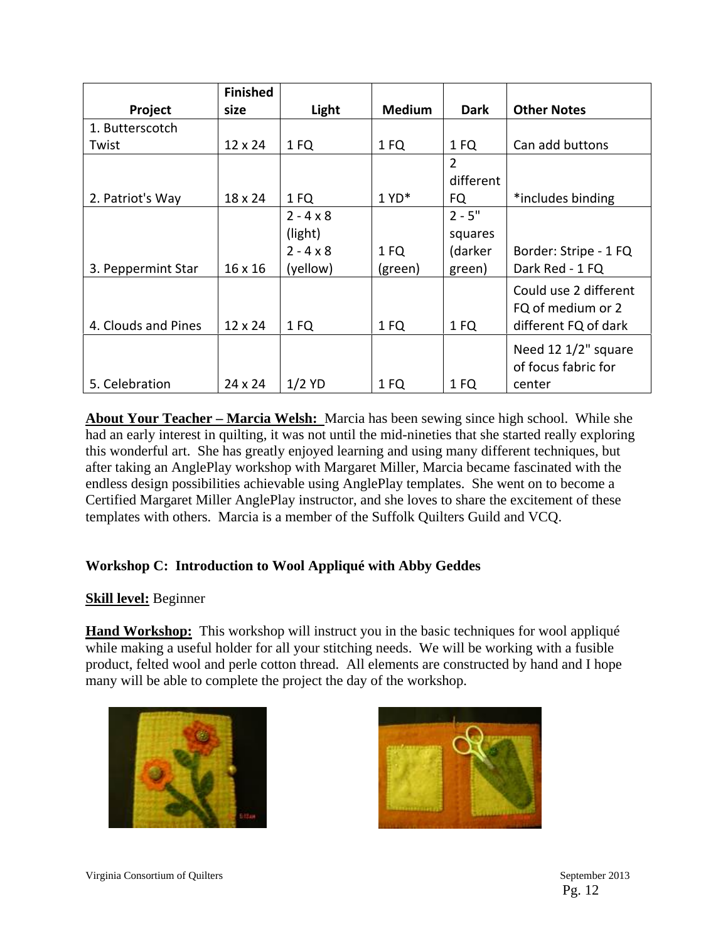|                     | <b>Finished</b> |                                                             |                 |                                          |                                                                    |
|---------------------|-----------------|-------------------------------------------------------------|-----------------|------------------------------------------|--------------------------------------------------------------------|
| Project             | size            | Light                                                       | <b>Medium</b>   | <b>Dark</b>                              | <b>Other Notes</b>                                                 |
| 1. Butterscotch     |                 |                                                             |                 |                                          |                                                                    |
| Twist               | 12 x 24         | 1 FQ                                                        | 1 FQ            | 1 FQ                                     | Can add buttons                                                    |
| 2. Patriot's Way    | 18 x 24         | 1 FQ                                                        | $1 YD^*$        | $\overline{2}$<br>different<br>FQ        | *includes binding                                                  |
| 3. Peppermint Star  | 16 x 16         | $2 - 4 \times 8$<br>(light)<br>$2 - 4 \times 8$<br>(yellow) | 1 FQ<br>(green) | $2 - 5"$<br>squares<br>(darker<br>green) | Border: Stripe - 1 FQ<br>Dark Red - 1 FQ                           |
| 4. Clouds and Pines | 12 x 24         | 1 FQ                                                        | 1 FQ            | 1 FQ                                     | Could use 2 different<br>FQ of medium or 2<br>different FQ of dark |
| 5. Celebration      | 24 x 24         | $1/2$ YD                                                    | 1 FQ            | 1 FQ                                     | Need 12 1/2" square<br>of focus fabric for<br>center               |

**About Your Teacher – Marcia Welsh:** Marcia has been sewing since high school. While she had an early interest in quilting, it was not until the mid-nineties that she started really exploring this wonderful art. She has greatly enjoyed learning and using many different techniques, but after taking an AnglePlay workshop with Margaret Miller, Marcia became fascinated with the endless design possibilities achievable using AnglePlay templates. She went on to become a Certified Margaret Miller AnglePlay instructor, and she loves to share the excitement of these templates with others. Marcia is a member of the Suffolk Quilters Guild and VCQ.

#### **Workshop C: Introduction to Wool Appliqué with Abby Geddes**

#### **Skill level:** Beginner

**Hand Workshop:** This workshop will instruct you in the basic techniques for wool appliqué while making a useful holder for all your stitching needs. We will be working with a fusible product, felted wool and perle cotton thread. All elements are constructed by hand and I hope many will be able to complete the project the day of the workshop.



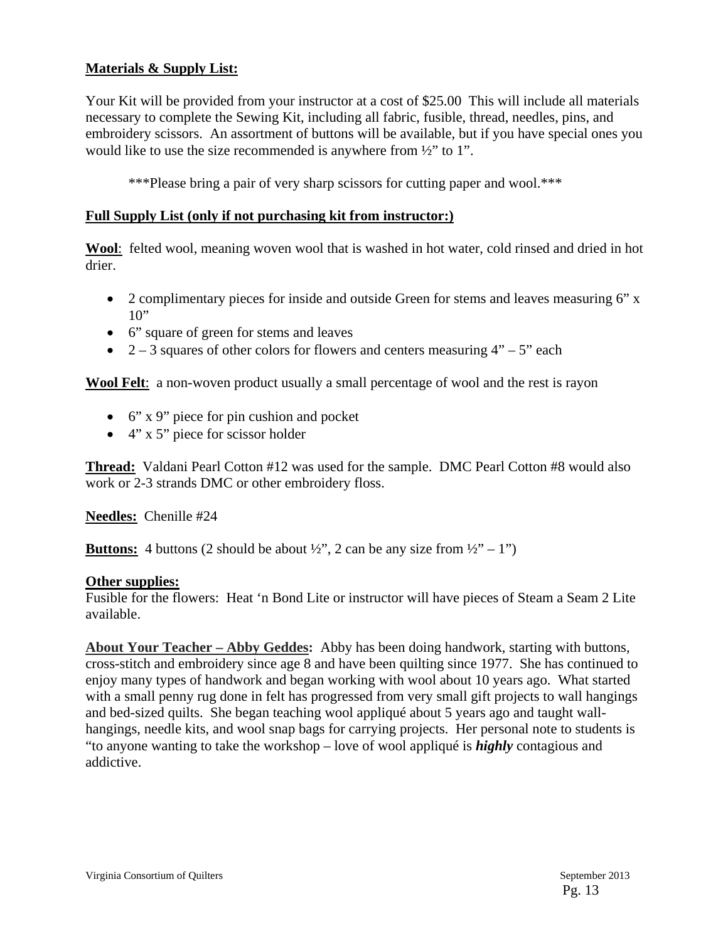#### **Materials & Supply List:**

Your Kit will be provided from your instructor at a cost of \$25.00 This will include all materials necessary to complete the Sewing Kit, including all fabric, fusible, thread, needles, pins, and embroidery scissors. An assortment of buttons will be available, but if you have special ones you would like to use the size recommended is anywhere from ½" to 1".

\*\*\*Please bring a pair of very sharp scissors for cutting paper and wool.\*\*\*

#### **Full Supply List (only if not purchasing kit from instructor:)**

**Wool**: felted wool, meaning woven wool that is washed in hot water, cold rinsed and dried in hot drier.

- 2 complimentary pieces for inside and outside Green for stems and leaves measuring 6" x  $10"$
- 6" square of green for stems and leaves
- 2 3 squares of other colors for flowers and centers measuring  $4"$  5" each

**Wool Felt**: a non-woven product usually a small percentage of wool and the rest is rayon

- 6" x 9" piece for pin cushion and pocket
- $\bullet$  4" x 5" piece for scissor holder

**Thread:** Valdani Pearl Cotton #12 was used for the sample. DMC Pearl Cotton #8 would also work or 2-3 strands DMC or other embroidery floss.

**Needles:** Chenille #24

**Buttons:** 4 buttons (2 should be about  $\frac{1}{2}$ , 2 can be any size from  $\frac{1}{2}$ , -1")

#### **Other supplies:**

Fusible for the flowers: Heat 'n Bond Lite or instructor will have pieces of Steam a Seam 2 Lite available.

**About Your Teacher – Abby Geddes:** Abby has been doing handwork, starting with buttons, cross-stitch and embroidery since age 8 and have been quilting since 1977. She has continued to enjoy many types of handwork and began working with wool about 10 years ago. What started with a small penny rug done in felt has progressed from very small gift projects to wall hangings and bed-sized quilts. She began teaching wool appliqué about 5 years ago and taught wallhangings, needle kits, and wool snap bags for carrying projects. Her personal note to students is "to anyone wanting to take the workshop – love of wool appliqué is *highly* contagious and addictive.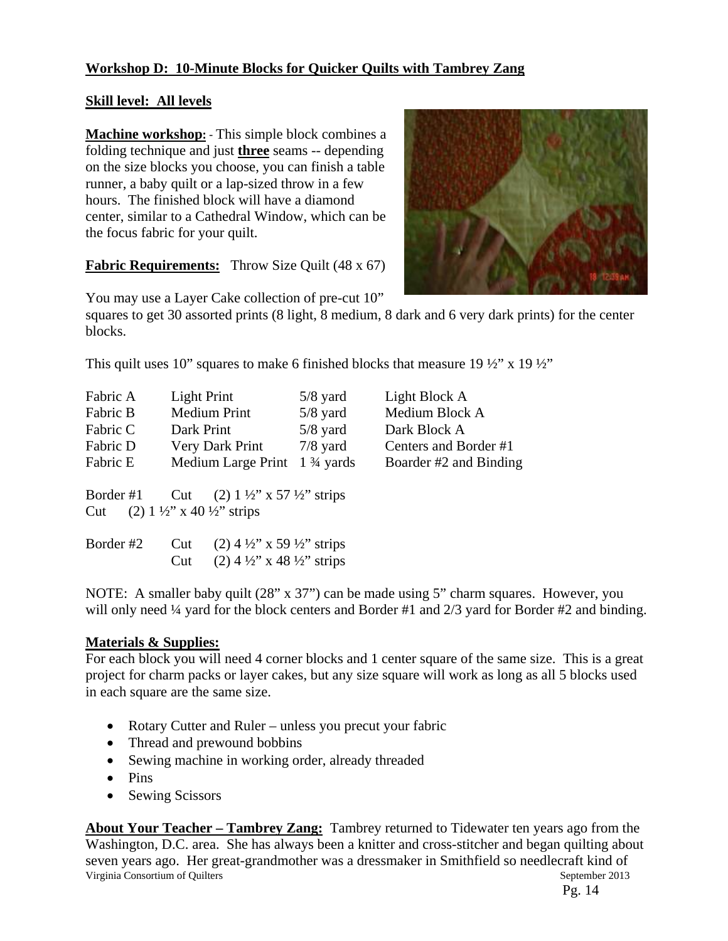#### **Workshop D: 10-Minute Blocks for Quicker Quilts with Tambrey Zang**

#### **Skill level: All levels**

**Machine workshop:** ‐ This simple block combines a folding technique and just **three** seams -- depending on the size blocks you choose, you can finish a table runner, a baby quilt or a lap-sized throw in a few hours. The finished block will have a diamond center, similar to a Cathedral Window, which can be the focus fabric for your quilt.



**Fabric Requirements:** Throw Size Quilt (48 x 67)

You may use a Layer Cake collection of pre-cut 10"

squares to get 30 assorted prints (8 light, 8 medium, 8 dark and 6 very dark prints) for the center blocks.

This quilt uses 10" squares to make 6 finished blocks that measure 19  $\frac{1}{2}$ " x 19  $\frac{1}{2}$ "

| Fabric A         | <b>Light Print</b>                                                            | $5/8$ yard           | Light Block A          |
|------------------|-------------------------------------------------------------------------------|----------------------|------------------------|
| Fabric B         | <b>Medium Print</b>                                                           | $5/8$ yard           | Medium Block A         |
| Fabric C         | Dark Print                                                                    | $5/8$ yard           | Dark Block A           |
| Fabric D         | Very Dark Print                                                               | $7/8$ yard           | Centers and Border #1  |
| Fabric E         | Medium Large Print                                                            | $1\frac{3}{4}$ yards | Boarder #2 and Binding |
| Border #1<br>Cut | Cut (2) $1\frac{1}{2}$ x 57 $\frac{1}{2}$ strips<br>$(2)$ 1 ½" x 40 ½" strips |                      |                        |
| Border #2        | $(2)$ 4 ½" x 59 ½" strips<br>Cut                                              |                      |                        |
|                  | $(2)$ 4 ½" x 48 ½" strips<br>Cut                                              |                      |                        |

NOTE: A smaller baby quilt (28" x 37") can be made using 5" charm squares. However, you will only need ¼ yard for the block centers and Border #1 and  $2/3$  yard for Border #2 and binding.

#### **Materials & Supplies:**

For each block you will need 4 corner blocks and 1 center square of the same size. This is a great project for charm packs or layer cakes, but any size square will work as long as all 5 blocks used in each square are the same size.

- Rotary Cutter and Ruler unless you precut your fabric
- Thread and prewound bobbins
- Sewing machine in working order, already threaded
- Pins
- Sewing Scissors

Virginia Consortium of Quilters **September 2013** September 2013 **About Your Teacher – Tambrey Zang:** Tambrey returned to Tidewater ten years ago from the Washington, D.C. area. She has always been a knitter and cross-stitcher and began quilting about seven years ago. Her great-grandmother was a dressmaker in Smithfield so needlecraft kind of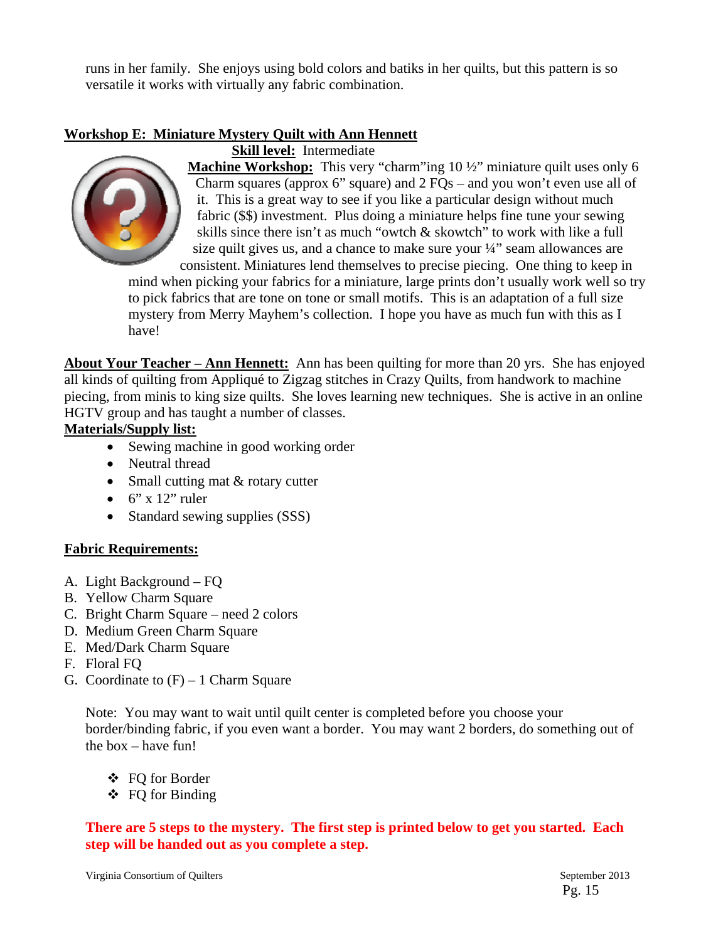runs in her family. She enjoys using bold colors and batiks in her quilts, but this pattern is so versatile it works with virtually any fabric combination.

#### **Workshop E: Miniature Mystery Quilt with Ann Hennett**



**Skill level:** Intermediate

**Machine Workshop:** This very "charm"ing 10  $\frac{1}{2}$ " miniature quilt uses only 6 Charm squares (approx 6" square) and  $2 FQs$  – and you won't even use all of it. This is a great way to see if you like a particular design without much fabric (\$\$) investment. Plus doing a miniature helps fine tune your sewing skills since there isn't as much "owtch & skowtch" to work with like a full size quilt gives us, and a chance to make sure your  $\frac{1}{4}$  seam allowances are consistent. Miniatures lend themselves to precise piecing. One thing to keep in

mind when picking your fabrics for a miniature, large prints don't usually work well so try to pick fabrics that are tone on tone or small motifs. This is an adaptation of a full size mystery from Merry Mayhem's collection. I hope you have as much fun with this as I have!

**About Your Teacher – Ann Hennett:** Ann has been quilting for more than 20 yrs. She has enjoyed all kinds of quilting from Appliqué to Zigzag stitches in Crazy Quilts, from handwork to machine piecing, from minis to king size quilts. She loves learning new techniques. She is active in an online HGTV group and has taught a number of classes.

#### **Materials/Supply list:**

- Sewing machine in good working order
- Neutral thread
- Small cutting mat & rotary cutter
- $\bullet$  6" x 12" ruler
- Standard sewing supplies (SSS)

#### **Fabric Requirements:**

- A. Light Background FQ
- B. Yellow Charm Square
- C. Bright Charm Square need 2 colors
- D. Medium Green Charm Square
- E. Med/Dark Charm Square
- F. Floral FQ
- G. Coordinate to  $(F) 1$  Charm Square

Note: You may want to wait until quilt center is completed before you choose your border/binding fabric, if you even want a border. You may want 2 borders, do something out of the box – have fun!

FQ for Border

FQ for Binding

**There are 5 steps to the mystery. The first step is printed below to get you started. Each step will be handed out as you complete a step.**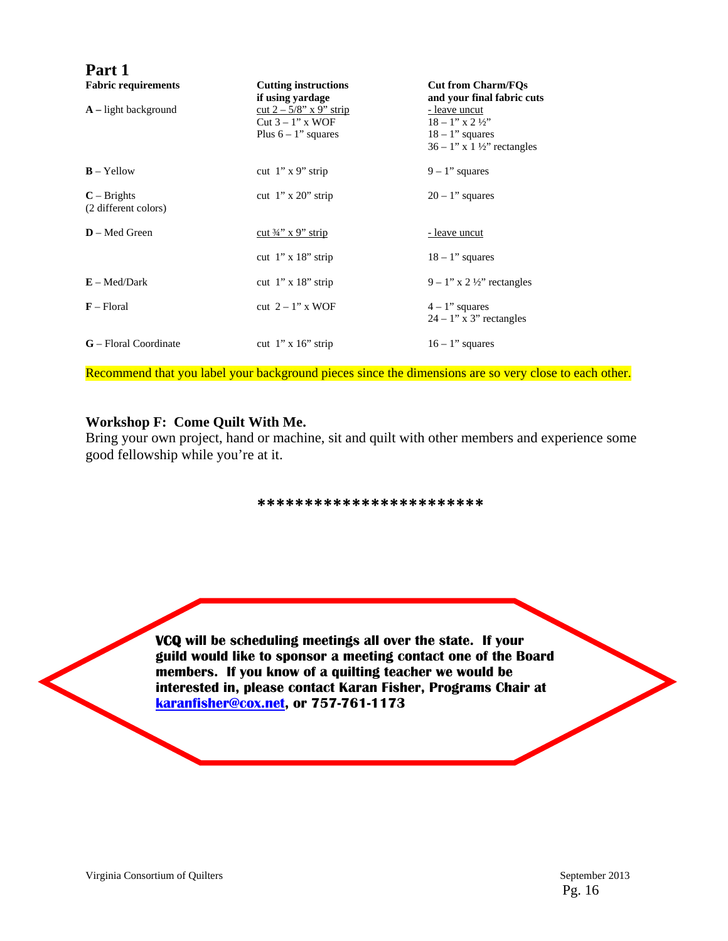| Part 1                               |                                                                            |                                                                                                                   |
|--------------------------------------|----------------------------------------------------------------------------|-------------------------------------------------------------------------------------------------------------------|
| <b>Fabric requirements</b>           | <b>Cutting instructions</b><br>if using yardage                            | <b>Cut from Charm/FOs</b><br>and your final fabric cuts                                                           |
| $A$ – light background               | cut $2 - 5/8$ " x 9" strip<br>$Cut 3 - 1"$ x WOF<br>Plus $6 - 1$ " squares | - leave uncut<br>$18 - 1$ " x $2 \frac{1}{2}$ "<br>$18 - 1$ " squares<br>$36 - 1$ " x $1\frac{1}{2}$ " rectangles |
| $B - Y$ ellow                        | cut $1$ " x 9" strip                                                       | $9 - 1$ " squares                                                                                                 |
| $C - Briggs$<br>(2 different colors) | cut $1$ " x $20$ " strip                                                   | $20 - 1$ " squares                                                                                                |
| $D - Med$ Green                      | cut $\frac{3}{4}$ " x 9" strip                                             | <u>- leave uncut</u>                                                                                              |
|                                      | cut $1$ " x $18$ " strip                                                   | $18 - 1$ " squares                                                                                                |
| $E - Med/Dark$                       | cut $1" \times 18"$ strip                                                  | $9 - 1$ " x 2 ½" rectangles                                                                                       |
| $F$ – Floral                         | cut $2 - 1$ " x WOF                                                        | $4 - 1$ " squares<br>$24 - 1$ " x 3" rectangles                                                                   |
| G - Floral Coordinate                | cut $1" \times 16"$ strip                                                  | $16 - 1$ " squares                                                                                                |

Recommend that you label your background pieces since the dimensions are so very close to each other.

#### **Workshop F: Come Quilt With Me.**

Bring your own project, hand or machine, sit and quilt with other members and experience some good fellowship while you're at it.

#### **\*\*\*\*\*\*\*\*\*\*\*\*\*\*\*\*\*\*\*\*\*\*\*\***

**VCQ will be scheduling meetings all over the state. If your guild would like to sponsor a meeting contact one of the Board members. If you know of a quilting teacher we would be interested in, please contact Karan Fisher, Programs Chair at karanfisher@cox.net, or 757-761-1173**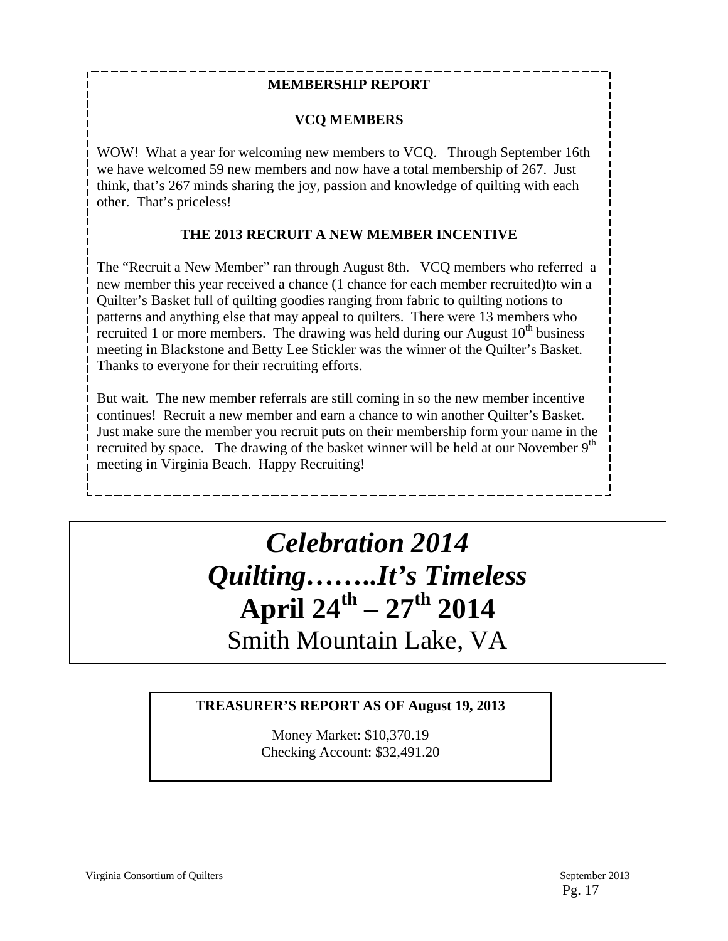#### **MEMBERSHIP REPORT**

#### **VCQ MEMBERS**

WOW! What a year for welcoming new members to VCQ. Through September 16th we have welcomed 59 new members and now have a total membership of 267. Just think, that's 267 minds sharing the joy, passion and knowledge of quilting with each other. That's priceless!

#### **THE 2013 RECRUIT A NEW MEMBER INCENTIVE**

The "Recruit a New Member" ran through August 8th. VCQ members who referred a new member this year received a chance (1 chance for each member recruited)to win a Quilter's Basket full of quilting goodies ranging from fabric to quilting notions to patterns and anything else that may appeal to quilters. There were 13 members who recruited 1 or more members. The drawing was held during our August  $10<sup>th</sup>$  business meeting in Blackstone and Betty Lee Stickler was the winner of the Quilter's Basket. Thanks to everyone for their recruiting efforts.

But wait. The new member referrals are still coming in so the new member incentive continues! Recruit a new member and earn a chance to win another Quilter's Basket. Just make sure the member you recruit puts on their membership form your name in the recruited by space. The drawing of the basket winner will be held at our November 9<sup>th</sup> meeting in Virginia Beach. Happy Recruiting!

## *Celebration 2014 Quilting……..It's Timeless*  **April 24th – 27th 2014**  Smith Mountain Lake, VA

#### **TREASURER'S REPORT AS OF August 19, 2013**

Money Market: \$10,370.19 Checking Account: \$32,491.20

Virginia Consortium of Quilters September 2013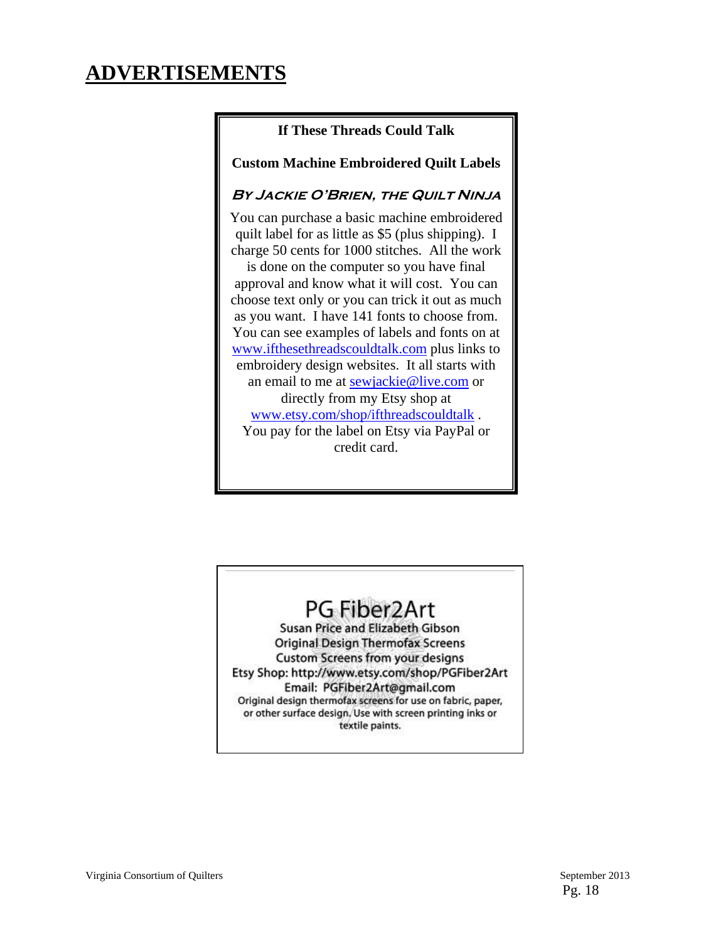## **ADVERTISEMENTS**

#### **If These Threads Could Talk**

**Custom Machine Embroidered Quilt Labels**

#### **By Jackie O'Brien, the Quilt Ninja**

You can purchase a basic machine embroidered quilt label for as little as \$5 (plus shipping). I charge 50 cents for 1000 stitches. All the work

is done on the computer so you have final approval and know what it will cost. You can choose text only or you can trick it out as much as you want. I have 141 fonts to choose from. You can see examples of labels and fonts on at www.ifthesethreadscouldtalk.com plus links to embroidery design websites. It all starts with an email to me at sewjackie@live.com or directly from my Etsy shop at www.etsy.com/shop/ifthreadscouldtalk . You pay for the label on Etsy via PayPal or credit card.

## PG Fiber2Art

Susan Price and Elizabeth Gibson **Original Design Thermofax Screens Custom Screens from your designs** Etsy Shop: http://www.etsy.com/shop/PGFiber2Art Email: PGFiber2Art@gmail.com Original design thermofax screens for use on fabric, paper, or other surface design. Use with screen printing inks or textile paints.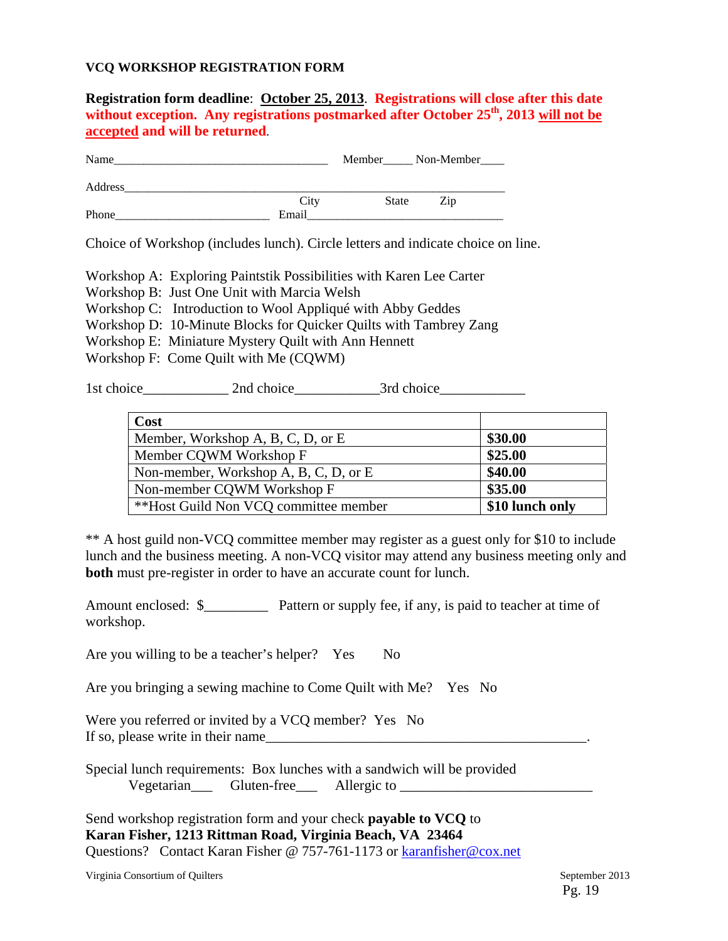#### **VCQ WORKSHOP REGISTRATION FORM**

**Registration form deadline**: **October 25, 2013**. **Registrations will close after this date**  without exception. Any registrations postmarked after October 25<sup>th</sup>, 2013 will not be **accepted and will be returned**.

| Name    |       | Member | $\sqrt{N}$ Non-Member |
|---------|-------|--------|-----------------------|
| Address |       |        |                       |
|         | City  | State  | Zip                   |
| Phone   | Email |        |                       |

Choice of Workshop (includes lunch). Circle letters and indicate choice on line.

Workshop A: Exploring Paintstik Possibilities with Karen Lee Carter

Workshop B: Just One Unit with Marcia Welsh

Workshop C: Introduction to Wool Appliqué with Abby Geddes

- Workshop D: 10-Minute Blocks for Quicker Quilts with Tambrey Zang
- Workshop E: Miniature Mystery Quilt with Ann Hennett
- Workshop F: Come Quilt with Me (CQWM)

1st choice\_\_\_\_\_\_\_\_\_\_\_\_\_\_\_\_ 2nd choice\_\_\_\_\_\_\_\_\_\_\_\_\_\_\_\_3rd choice\_\_\_\_\_\_\_\_\_\_\_\_\_\_\_\_\_

| Cost                                  |                 |
|---------------------------------------|-----------------|
| Member, Workshop A, B, C, D, or E     | \$30.00         |
| Member CQWM Workshop F                | \$25.00         |
| Non-member, Workshop A, B, C, D, or E | \$40.00         |
| Non-member CQWM Workshop F            | \$35.00         |
| **Host Guild Non VCQ committee member | \$10 lunch only |

\*\* A host guild non-VCQ committee member may register as a guest only for \$10 to include lunch and the business meeting. A non-VCQ visitor may attend any business meeting only and **both** must pre-register in order to have an accurate count for lunch.

Amount enclosed: \$\_\_\_\_\_\_\_\_\_\_\_\_ Pattern or supply fee, if any, is paid to teacher at time of workshop.

Are you willing to be a teacher's helper? Yes No

Are you bringing a sewing machine to Come Quilt with Me? Yes No

Were you referred or invited by a VCO member? Yes No If so, please write in their name

Special lunch requirements: Box lunches with a sandwich will be provided Vegetarian\_\_\_ Gluten-free\_\_\_ Allergic to \_\_\_\_\_\_\_\_\_\_\_\_\_\_\_\_\_\_\_\_\_\_\_\_\_\_\_

Send workshop registration form and your check **payable to VCQ** to **Karan Fisher, 1213 Rittman Road, Virginia Beach, VA 23464**  Questions? Contact Karan Fisher @ 757-761-1173 or karanfisher@cox.net